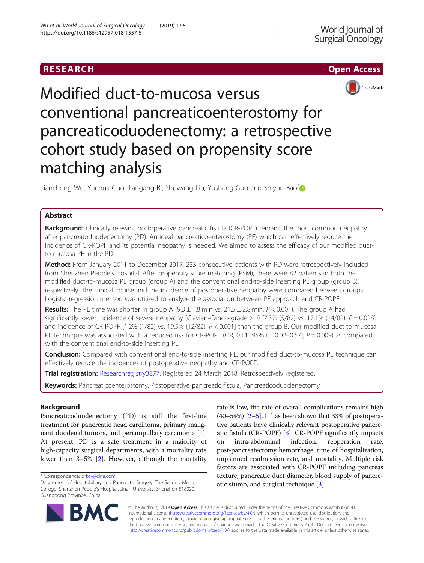# RESEARCH **RESEARCH CHOOSE ACCESS**



Modified duct-to-mucosa versus conventional pancreaticoenterostomy for pancreaticoduodenectomy: a retrospective cohort study based on propensity score matching analysis

Tianchong Wu, Yuehua Guo, Jiangang Bi, Shuwang Liu, Yusheng Guo and Shiyun Bao<sup>\*</sup>

## Abstract

**Background:** Clinically relevant postoperative pancreatic fistula (CR-POPF) remains the most common neopathy after pancreatoduodenectomy (PD). An ideal pancreaticoenterostomy (PE) which can effectively reduce the incidence of CR-POPF and its potential neopathy is needed. We aimed to assess the efficacy of our modified ductto-mucosa PE in the PD.

Method: From January 2011 to December 2017, 233 consecutive patients with PD were retrospectively included from Shenzhen People's Hospital. After propensity score matching (PSM), there were 82 patients in both the modified duct-to-mucosa PE group (group A) and the conventional end-to-side inserting PE group (group B), respectively. The clinical course and the incidence of postoperative neopathy were compared between groups. Logistic regression method was utilized to analyze the association between PE approach and CR-POPF.

**Results:** The PE time was shorter in group A  $(9.3 \pm 1.8 \text{ min} \text{ vs. } 21.5 \pm 2.8 \text{ min}, P < 0.001)$ . The group A had significantly lower incidence of severe neopathy (Clavien–Dindo grade  $>$  II) [7.3% (5/82) vs. 17.1% (14/82),  $P = 0.028$ ] and incidence of CR-POPF [1.2% (1/82) vs. 19.5% (12/82), P < 0.001] than the group B. Our modified duct-to-mucosa PE technique was associated with a reduced risk for CR-POPF (OR, 0.11 [95% CI, 0.02–0.57];  $P = 0.009$ ) as compared with the conventional end-to-side inserting PE.

**Conclusion:** Compared with conventional end-to-side inserting PE, our modified duct-to-mucosa PE technique can effectively reduce the incidences of postoperative neopathy and CR-POPF.

Trial registration: [Researchregistry3877](https://www.researchregistry.com/browse-the-registry#home/?view_2_search=Researchregistry3877&view_2_page=1). Registered 24 March 2018. Retrospectively registered.

Keywords: Pancreaticoenterostomy, Postoperative pancreatic fistula, Pancreaticoduodenectomy

### Background

Pancreaticoduodenectomy (PD) is still the first-line treatment for pancreatic head carcinoma, primary malignant duodenal tumors, and periampullary carcinoma [\[1](#page-9-0)]. At present, PD is a safe treatment in a majority of high-capacity surgical departments, with a mortality rate lower than 3–5% [\[2](#page-9-0)]. However, although the mortality

rate is low, the rate of overall complications remains high  $(40-54%)$  $(40-54%)$  $(40-54%)$   $[2-5]$  $[2-5]$  $[2-5]$ . It has been shown that 33% of postoperative patients have clinically relevant postoperative pancreatic fistula (CR-POPF) [\[3\]](#page-9-0). CR-POPF significantly impacts on intra-abdominal infection, reoperation rate, post-pancreatectomy hemorrhage, time of hospitalization, unplanned readmission rate, and mortality. Multiple risk factors are associated with CR-POPF including pancreas texture, pancreatic duct diameter, blood supply of pancreatic stump, and surgical technique [\[3](#page-9-0)].



© The Author(s). 2019 Open Access This article is distributed under the terms of the Creative Commons Attribution 4.0 International License [\(http://creativecommons.org/licenses/by/4.0/](http://creativecommons.org/licenses/by/4.0/)), which permits unrestricted use, distribution, and reproduction in any medium, provided you give appropriate credit to the original author(s) and the source, provide a link to the Creative Commons license, and indicate if changes were made. The Creative Commons Public Domain Dedication waiver [\(http://creativecommons.org/publicdomain/zero/1.0/](http://creativecommons.org/publicdomain/zero/1.0/)) applies to the data made available in this article, unless otherwise stated.

<sup>\*</sup> Correspondence: [drbsy@sina.com](mailto:drbsy@sina.com)

Department of Hepatobiliary and Pancreatic Surgery, The Second Medical College, Shenzhen People's Hospital, Jinan University, Shenzhen 518020, Guangdong Province, China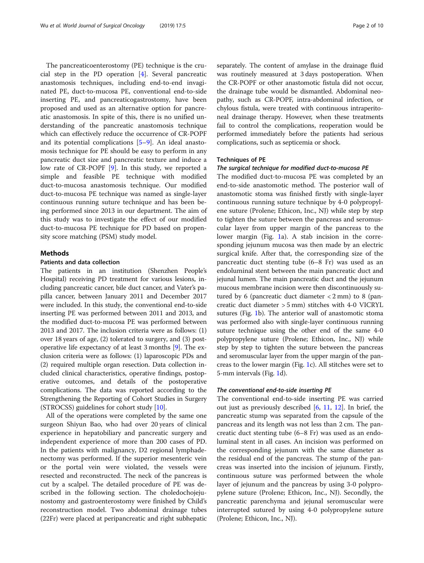The pancreaticoenterostomy (PE) technique is the crucial step in the PD operation [[4\]](#page-9-0). Several pancreatic anastomosis techniques, including end-to-end invaginated PE, duct-to-mucosa PE, conventional end-to-side inserting PE, and pancreaticogastrostomy, have been proposed and used as an alternative option for pancreatic anastomosis. In spite of this, there is no unified understanding of the pancreatic anastomosis technique which can effectively reduce the occurrence of CR-POPF and its potential complications [[5](#page-9-0)–[9\]](#page-9-0). An ideal anastomosis technique for PE should be easy to perform in any pancreatic duct size and pancreatic texture and induce a low rate of CR-POPF [[9\]](#page-9-0). In this study, we reported a simple and feasible PE technique with modified duct-to-mucosa anastomosis technique. Our modified duct-to-mucosa PE technique was named as single-layer continuous running suture technique and has been being performed since 2013 in our department. The aim of this study was to investigate the effect of our modified duct-to-mucosa PE technique for PD based on propensity score matching (PSM) study model.

### Methods

### Patients and data collection

The patients in an institution (Shenzhen People's Hospital) receiving PD treatment for various lesions, including pancreatic cancer, bile duct cancer, and Vater's papilla cancer, between January 2011 and December 2017 were included. In this study, the conventional end-to-side inserting PE was performed between 2011 and 2013, and the modified duct-to-mucosa PE was performed between 2013 and 2017. The inclusion criteria were as follows: (1) over 18 years of age, (2) tolerated to surgery, and (3) postoperative life expectancy of at least 3 months [[9](#page-9-0)]. The exclusion criteria were as follows: (1) laparoscopic PDs and (2) required multiple organ resection. Data collection included clinical characteristics, operative findings, postoperative outcomes, and details of the postoperative complications. The data was reported according to the Strengthening the Reporting of Cohort Studies in Surgery (STROCSS) guidelines for cohort study [[10](#page-9-0)].

All of the operations were completed by the same one surgeon Shiyun Bao, who had over 20 years of clinical experience in hepatobiliary and pancreatic surgery and independent experience of more than 200 cases of PD. In the patients with malignancy, D2 regional lymphadenectomy was performed. If the superior mesenteric vein or the portal vein were violated, the vessels were resected and reconstructed. The neck of the pancreas is cut by a scalpel. The detailed procedure of PE was described in the following section. The choledochojejunostomy and gastroenterostomy were finished by Child's reconstruction model. Two abdominal drainage tubes (22Fr) were placed at peripancreatic and right subhepatic separately. The content of amylase in the drainage fluid was routinely measured at 3 days postoperation. When the CR-POPF or other anastomotic fistula did not occur, the drainage tube would be dismantled. Abdominal neopathy, such as CR-POPF, intra-abdominal infection, or chylous fistula, were treated with continuous intraperitoneal drainage therapy. However, when these treatments fail to control the complications, reoperation would be performed immediately before the patients had serious complications, such as septicemia or shock.

### Techniques of PE

#### The surgical technique for modified duct-to-mucosa PE

The modified duct-to-mucosa PE was completed by an end-to-side anastomotic method. The posterior wall of anastomotic stoma was finished firstly with single-layer continuous running suture technique by 4-0 polypropylene suture (Prolene; Ethicon, Inc., NJ) while step by step to tighten the suture between the pancreas and seromuscular layer from upper margin of the pancreas to the lower margin (Fig. [1](#page-2-0)a). A stab incision in the corresponding jejunum mucosa was then made by an electric surgical knife. After that, the corresponding size of the pancreatic duct stenting tube (6–8 Fr) was used as an endoluminal stent between the main pancreatic duct and jejunal lumen. The main pancreatic duct and the jejunum mucous membrane incision were then discontinuously sutured by 6 (pancreatic duct diameter  $\langle 2 \text{ mm} \rangle$  to 8 (pancreatic duct diameter > 5 mm) stitches with 4-0 VICRYL sutures (Fig. [1b](#page-2-0)). The anterior wall of anastomotic stoma was performed also with single-layer continuous running suture technique using the other end of the same 4-0 polypropylene suture (Prolene; Ethicon, Inc., NJ) while step by step to tighten the suture between the pancreas and seromuscular layer from the upper margin of the pancreas to the lower margin (Fig. [1](#page-2-0)c). All stitches were set to 5-mm intervals (Fig. [1](#page-2-0)d).

### The conventional end-to-side inserting PE

The conventional end-to-side inserting PE was carried out just as previously described [[6](#page-9-0), [11](#page-9-0), [12\]](#page-9-0). In brief, the pancreatic stump was separated from the capsule of the pancreas and its length was not less than 2 cm. The pancreatic duct stenting tube (6–8 Fr) was used as an endoluminal stent in all cases. An incision was performed on the corresponding jejunum with the same diameter as the residual end of the pancreas. The stump of the pancreas was inserted into the incision of jejunum. Firstly, continuous suture was performed between the whole layer of jejunum and the pancreas by using 3-0 polypropylene suture (Prolene; Ethicon, Inc., NJ). Secondly, the pancreatic parenchyma and jejunal seromuscular were interrupted sutured by using 4-0 polypropylene suture (Prolene; Ethicon, Inc., NJ).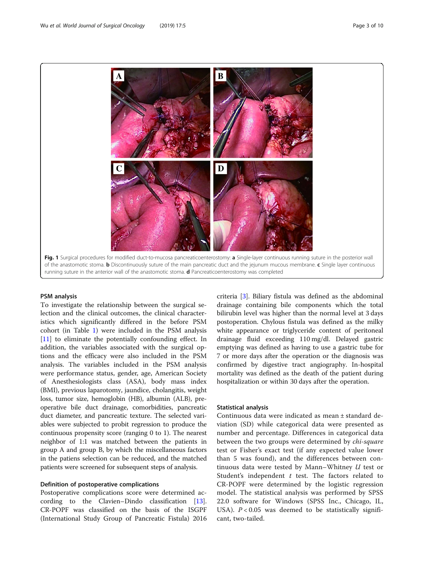<span id="page-2-0"></span>

### PSM analysis

To investigate the relationship between the surgical selection and the clinical outcomes, the clinical characteristics which significantly differed in the before PSM cohort (in Table [1\)](#page-3-0) were included in the PSM analysis [[11\]](#page-9-0) to eliminate the potentially confounding effect. In addition, the variables associated with the surgical options and the efficacy were also included in the PSM analysis. The variables included in the PSM analysis were performance status, gender, age, American Society of Anesthesiologists class (ASA), body mass index (BMI), previous laparotomy, jaundice, cholangitis, weight loss, tumor size, hemoglobin (HB), albumin (ALB), preoperative bile duct drainage, comorbidities, pancreatic duct diameter, and pancreatic texture. The selected variables were subjected to probit regression to produce the continuous propensity score (ranging 0 to 1). The nearest neighbor of 1:1 was matched between the patients in group A and group B, by which the miscellaneous factors in the patiens selection can be reduced, and the matched patients were screened for subsequent steps of analysis.

### Definition of postoperative complications

Postoperative complications score were determined according to the Clavien–Dindo classification [\[13](#page-9-0)]. CR-POPF was classified on the basis of the ISGPF (International Study Group of Pancreatic Fistula) 2016 criteria [[3\]](#page-9-0). Biliary fistula was defined as the abdominal drainage containing bile components which the total bilirubin level was higher than the normal level at 3 days postoperation. Chylous fistula was defined as the milky white appearance or triglyceride content of peritoneal drainage fluid exceeding 110 mg/dl. Delayed gastric emptying was defined as having to use a gastric tube for 7 or more days after the operation or the diagnosis was confirmed by digestive tract angiography. In-hospital mortality was defined as the death of the patient during hospitalization or within 30 days after the operation.

### Statistical analysis

Continuous data were indicated as mean ± standard deviation (SD) while categorical data were presented as number and percentage. Differences in categorical data between the two groups were determined by chi-square test or Fisher's exact test (if any expected value lower than 5 was found), and the differences between continuous data were tested by Mann-Whitney  $U$  test or Student's independent  $t$  test. The factors related to CR-POPF were determined by the logistic regression model. The statistical analysis was performed by SPSS 22.0 software for Windows (SPSS Inc., Chicago, IL, USA).  $P < 0.05$  was deemed to be statistically significant, two-tailed.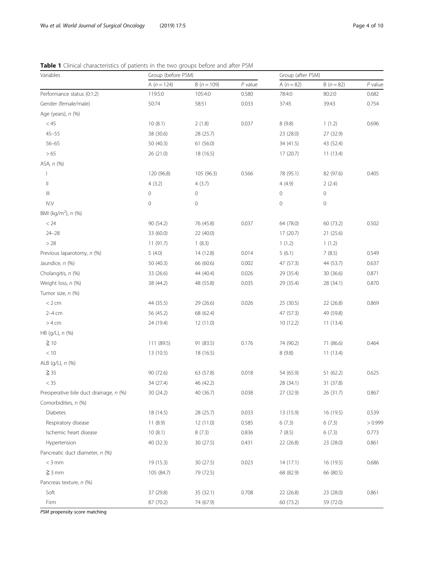<span id="page-3-0"></span>

| Variables                                                                                                                                                                                                                                                                                                                                                                                                                                                                                               | Group (before PSM) |                     |           | Group (after PSM) |                     |           |
|---------------------------------------------------------------------------------------------------------------------------------------------------------------------------------------------------------------------------------------------------------------------------------------------------------------------------------------------------------------------------------------------------------------------------------------------------------------------------------------------------------|--------------------|---------------------|-----------|-------------------|---------------------|-----------|
|                                                                                                                                                                                                                                                                                                                                                                                                                                                                                                         | A $(n = 124)$      | $B(n = 109)$        | $P$ value | A $(n = 82)$      | $B(n = 82)$         | $P$ value |
| Performance status (0:1:2)                                                                                                                                                                                                                                                                                                                                                                                                                                                                              | 119:5:0            | 105:4:0             | 0.580     | 78:4:0            | 80:2:0              | 0.682     |
| Gender (female/male)                                                                                                                                                                                                                                                                                                                                                                                                                                                                                    | 50:74              | 58:51               | 0.033     | 37:45             | 39:43               | 0.754     |
| Age (years), $n$ (%)                                                                                                                                                                                                                                                                                                                                                                                                                                                                                    |                    |                     |           |                   |                     |           |
| < 45                                                                                                                                                                                                                                                                                                                                                                                                                                                                                                    | 10(8.1)            | 2(1.8)              | 0.037     | 8(9.8)            | 1(1.2)              | 0.696     |
| $45 - 55$                                                                                                                                                                                                                                                                                                                                                                                                                                                                                               | 38 (30.6)          | 28 (25.7)           |           | 23 (28.0)         | 27 (32.9)           |           |
| $56 - 65$                                                                                                                                                                                                                                                                                                                                                                                                                                                                                               | 50 (40.3)          | 61(56.0)            |           | 34 (41.5)         | 43 (52.4)           |           |
| $>65$                                                                                                                                                                                                                                                                                                                                                                                                                                                                                                   | 26 (21.0)          | 18 (16.5)           |           | 17(20.7)          | 11(13.4)            |           |
| ASA, n (%)                                                                                                                                                                                                                                                                                                                                                                                                                                                                                              |                    |                     |           |                   |                     |           |
| $\overline{\phantom{a}}$                                                                                                                                                                                                                                                                                                                                                                                                                                                                                | 120 (96.8)         | 105 (96.3)          | 0.566     | 78 (95.1)         | 82 (97.6)           | 0.405     |
| $\label{eq:1} \prod_{i=1}^n \alpha_i \left  \frac{1}{n} \right  \alpha_i \left  \frac{1}{n} \right  \alpha_i \left  \frac{1}{n} \right  \alpha_i \left  \frac{1}{n} \right  \alpha_i \left  \frac{1}{n} \right  \alpha_i \left  \frac{1}{n} \right  \alpha_i \left  \frac{1}{n} \right  \alpha_i \left  \frac{1}{n} \right  \alpha_i \left  \frac{1}{n} \right  \alpha_i \left  \frac{1}{n} \right  \alpha_i \left  \frac{1}{n} \right  \alpha_i \left  \frac{1}{n} \right  \alpha_i \left  \frac{1}{n$ | 4(3.2)             | 4(3.7)              |           | 4(4.9)            | 2(2.4)              |           |
| $\ensuremath{\mathsf{III}}\xspace$                                                                                                                                                                                                                                                                                                                                                                                                                                                                      | 0                  | $\mathbf 0$         |           | $\mathbf 0$       | $\mathsf{O}\xspace$ |           |
| IV.V                                                                                                                                                                                                                                                                                                                                                                                                                                                                                                    | 0                  | $\mathsf{O}\xspace$ |           | $\mathbf 0$       | 0                   |           |
| BMI (kg/m <sup>2</sup> ), n (%)                                                                                                                                                                                                                                                                                                                                                                                                                                                                         |                    |                     |           |                   |                     |           |
| $< 24\,$                                                                                                                                                                                                                                                                                                                                                                                                                                                                                                | 90 (54.2)          | 76 (45.8)           | 0.037     | 64 (78.0)         | 60 (73.2)           | 0.502     |
| $24 - 28$                                                                                                                                                                                                                                                                                                                                                                                                                                                                                               | 33 (60.0)          | 22 (40.0)           |           | 17(20.7)          | 21 (25.6)           |           |
| >28                                                                                                                                                                                                                                                                                                                                                                                                                                                                                                     | 11(91.7)           | 1(8.3)              |           | 1(1.2)            | 1(1.2)              |           |
| Previous laparotomy, n (%)                                                                                                                                                                                                                                                                                                                                                                                                                                                                              | 5(4.0)             | 14 (12.8)           | 0.014     | 5(6.1)            | 7(8.5)              | 0.549     |
| Jaundice, n (%)                                                                                                                                                                                                                                                                                                                                                                                                                                                                                         | 50 (40.3)          | 66 (60.6)           | 0.002     | 47 (57.3)         | 44 (53.7)           | 0.637     |
| Cholangitis, n (%)                                                                                                                                                                                                                                                                                                                                                                                                                                                                                      | 33 (26.6)          | 44 (40.4)           | 0.026     | 29 (35.4)         | 30 (36.6)           | 0.871     |
| Weight loss, n (%)                                                                                                                                                                                                                                                                                                                                                                                                                                                                                      | 38 (44.2)          | 48 (55.8)           | 0.035     | 29 (35.4)         | 28 (34.1)           | 0.870     |
| Tumor size, n (%)                                                                                                                                                                                                                                                                                                                                                                                                                                                                                       |                    |                     |           |                   |                     |           |
| $< 2$ cm                                                                                                                                                                                                                                                                                                                                                                                                                                                                                                | 44 (35.5)          | 29 (26.6)           | 0.026     | 25 (30.5)         | 22 (26.8)           | 0.869     |
| $2-4$ cm                                                                                                                                                                                                                                                                                                                                                                                                                                                                                                | 56 (45.2)          | 68 (62.4)           |           | 47 (57.3)         | 49 (59.8)           |           |
| $>4$ cm                                                                                                                                                                                                                                                                                                                                                                                                                                                                                                 | 24 (19.4)          | 12(11.0)            |           | 10(12.2)          | 11(13.4)            |           |
| HB (g/L), n (%)                                                                                                                                                                                                                                                                                                                                                                                                                                                                                         |                    |                     |           |                   |                     |           |
| $\geq 10$                                                                                                                                                                                                                                                                                                                                                                                                                                                                                               | 111 (89.5)         | 91 (83.5)           | 0.176     | 74 (90.2)         | 71 (86.6)           | 0.464     |
| < 10                                                                                                                                                                                                                                                                                                                                                                                                                                                                                                    | 13 (10.5)          | 18 (16.5)           |           | 8(9.8)            | 11(13.4)            |           |
| ALB (g/L), n (%)                                                                                                                                                                                                                                                                                                                                                                                                                                                                                        |                    |                     |           |                   |                     |           |
| $\geq 35$                                                                                                                                                                                                                                                                                                                                                                                                                                                                                               | 90 (72.6)          | 63 (57.8)           | 0.018     | 54 (65.9)         | 51 (62.2)           | 0.625     |
| $< 35\,$                                                                                                                                                                                                                                                                                                                                                                                                                                                                                                | 34 (27.4)          | 46 (42.2)           |           | 28 (34.1)         | 31 (37.8)           |           |
| Preoperative bile duct drainage, n (%)                                                                                                                                                                                                                                                                                                                                                                                                                                                                  | 30 (24.2)          | 40 (36.7)           | 0.038     | 27 (32.9)         | 26 (31.7)           | 0.867     |
| Comorbidities, n (%)                                                                                                                                                                                                                                                                                                                                                                                                                                                                                    |                    |                     |           |                   |                     |           |
| Diabetes                                                                                                                                                                                                                                                                                                                                                                                                                                                                                                | 18 (14.5)          | 28 (25.7)           | 0.033     | 13 (15.9)         | 16 (19.5)           | 0.539     |
| Respiratory disease                                                                                                                                                                                                                                                                                                                                                                                                                                                                                     | 11(8.9)            | 12 (11.0)           | 0.585     | 6(7.3)            | 6(7.3)              | > 0.999   |
| Ischemic heart disease                                                                                                                                                                                                                                                                                                                                                                                                                                                                                  | 10(8.1)            | 8(7.3)              | 0.836     | 7(8.5)            | 6(7.3)              | 0.773     |
| Hypertension                                                                                                                                                                                                                                                                                                                                                                                                                                                                                            | 40 (32.3)          | 30(27.5)            | 0.431     | 22 (26.8)         | 23 (28.0)           | 0.861     |
| Pancreatic duct diameter, n (%)                                                                                                                                                                                                                                                                                                                                                                                                                                                                         |                    |                     |           |                   |                     |           |
| $<$ 3 mm                                                                                                                                                                                                                                                                                                                                                                                                                                                                                                | 19 (15.3)          | 30(27.5)            | 0.023     | 14(17.1)          | 16 (19.5)           | 0.686     |
| $\geq$ 3 mm                                                                                                                                                                                                                                                                                                                                                                                                                                                                                             | 105 (84.7)         | 79 (72.5)           |           | 68 (82.9)         | 66 (80.5)           |           |
| Pancreas texture, n (%)                                                                                                                                                                                                                                                                                                                                                                                                                                                                                 |                    |                     |           |                   |                     |           |
| Soft                                                                                                                                                                                                                                                                                                                                                                                                                                                                                                    | 37 (29.8)          | 35 (32.1)           | 0.708     | 22 (26.8)         | 23 (28.0)           | 0.861     |
| Firm                                                                                                                                                                                                                                                                                                                                                                                                                                                                                                    | 87 (70.2)          | 74 (67.9)           |           | 60 (73.2)         | 59 (72.0)           |           |

PSM propensity score matching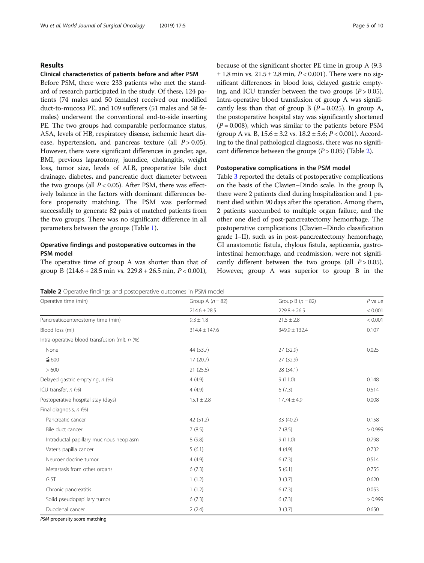### Results

### Clinical characteristics of patients before and after PSM

Before PSM, there were 233 patients who met the standard of research participated in the study. Of these, 124 patients (74 males and 50 females) received our modified duct-to-mucosa PE, and 109 sufferers (51 males and 58 females) underwent the conventional end-to-side inserting PE. The two groups had comparable performance status, ASA, levels of HB, respiratory disease, ischemic heart disease, hypertension, and pancreas texture (all  $P > 0.05$ ). However, there were significant differences in gender, age, BMI, previous laparotomy, jaundice, cholangitis, weight loss, tumor size, levels of ALB, preoperative bile duct drainage, diabetes, and pancreatic duct diameter between the two groups (all  $P < 0.05$ ). After PSM, there was effectively balance in the factors with dominant differences before propensity matching. The PSM was performed successfully to generate 82 pairs of matched patients from the two groups. There was no significant difference in all parameters between the groups (Table [1\)](#page-3-0).

### Operative findings and postoperative outcomes in the PSM model

The operative time of group A was shorter than that of group B  $(214.6 + 28.5 \text{ min} \text{ vs. } 229.8 + 26.5 \text{ min}, P < 0.001)$ , because of the significant shorter PE time in group A (9.3  $\pm$  1.8 min vs. 21.5  $\pm$  2.8 min, P < 0.001). There were no significant differences in blood loss, delayed gastric emptying, and ICU transfer between the two groups  $(P > 0.05)$ . Intra-operative blood transfusion of group A was significantly less than that of group B ( $P = 0.025$ ). In group A, the postoperative hospital stay was significantly shortened  $(P = 0.008)$ , which was similar to the patients before PSM (group A vs. B,  $15.6 \pm 3.2$  vs.  $18.2 \pm 5.6$ ;  $P < 0.001$ ). According to the final pathological diagnosis, there was no significant difference between the groups  $(P > 0.05)$  (Table 2).

### Postoperative complications in the PSM model

Table [3](#page-5-0) reported the details of postoperative complications on the basis of the Clavien–Dindo scale. In the group B, there were 2 patients died during hospitalization and 1 patient died within 90 days after the operation. Among them, 2 patients succumbed to multiple organ failure, and the other one died of post-pancreatectomy hemorrhage. The postoperative complications (Clavien–Dindo classification grade I–II), such as in post-pancreatectomy hemorrhage, GI anastomotic fistula, chylous fistula, septicemia, gastrointestinal hemorrhage, and readmission, were not significantly different between the two groups (all  $P > 0.05$ ). However, group A was superior to group B in the

| Table 2 Operative findings and postoperative outcomes in PSM model |  |  |  |  |
|--------------------------------------------------------------------|--|--|--|--|
|--------------------------------------------------------------------|--|--|--|--|

| Operative time (min)                            | Group A $(n = 82)$ | Group B $(n = 82)$ | $P$ value |
|-------------------------------------------------|--------------------|--------------------|-----------|
|                                                 | $214.6 \pm 28.5$   | $229.8 \pm 26.5$   | < 0.001   |
| Pancreaticoenterostomy time (min)               | $9.3 \pm 1.8$      | $21.5 \pm 2.8$     | < 0.001   |
| Blood loss (ml)                                 | $314.4 \pm 147.6$  | $349.9 \pm 132.4$  | 0.107     |
| Intra-operative blood transfusion (ml), $n$ (%) |                    |                    |           |
| None                                            | 44 (53.7)          | 27 (32.9)          | 0.025     |
| $\leq 600$                                      | 17(20.7)           | 27 (32.9)          |           |
| >600                                            | 21(25.6)           | 28 (34.1)          |           |
| Delayed gastric emptying, n (%)                 | 4(4.9)             | 9(11.0)            | 0.148     |
| ICU transfer, $n$ (%)                           | 4(4.9)             | 6(7.3)             | 0.514     |
| Postoperative hospital stay (days)              | $15.1 \pm 2.8$     | $17.74 \pm 4.9$    | 0.008     |
| Final diagnosis, n (%)                          |                    |                    |           |
| Pancreatic cancer                               | 42 (51.2)          | 33 (40.2)          | 0.158     |
| Bile duct cancer                                | 7(8.5)             | 7(8.5)             | > 0.999   |
| Intraductal papillary mucinous neoplasm         | 8(9.8)             | 9(11.0)            | 0.798     |
| Vater's papilla cancer                          | 5(6.1)             | 4(4.9)             |           |
| Neuroendocrine tumor                            | 4(4.9)             | 6(7.3)             | 0.514     |
| Metastasis from other organs                    | 6(7.3)             | 5(6.1)             | 0.755     |
| <b>GIST</b>                                     | 1(1.2)             | 3(3.7)             | 0.620     |
| Chronic pancreatitis                            | 1(1.2)             | 6(7.3)             | 0.053     |
| Solid pseudopapillary tumor                     | 6(7.3)             | 6(7.3)             | > 0.999   |
| Duodenal cancer                                 | 2(2.4)             | 3(3.7)             | 0.650     |

PSM propensity score matching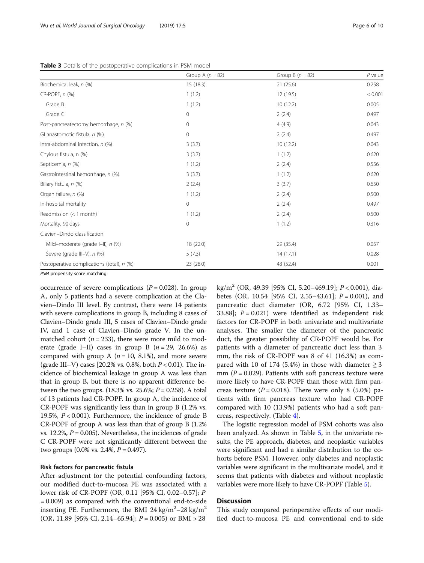|                                            | Group A $(n = 82)$  | Group B $(n = 82)$ | $P$ value |
|--------------------------------------------|---------------------|--------------------|-----------|
| Biochemical leak, n (%)                    | 15(18.3)            | 21(25.6)           | 0.258     |
| $CR-POPF, n$ (%)                           | 1(1.2)              | 12 (19.5)          | < 0.001   |
| Grade B                                    | 1(1.2)              | 10(12.2)           | 0.005     |
| Grade C                                    | $\circ$             | 2(2.4)             | 0.497     |
| Post-pancreatectomy hemorrhage, n (%)      | $\mathbf 0$         | 4(4.9)             | 0.043     |
| GI anastomotic fistula, n (%)              | $\mathsf{O}\xspace$ | 2(2.4)             | 0.497     |
| Intra-abdominal infection, n (%)           | 3(3.7)              | 10(12.2)           | 0.043     |
| Chylous fistula, n (%)                     | 3(3.7)              | 1(1.2)             | 0.620     |
| Septicemia, n (%)                          | 1(1.2)              | 2(2.4)             | 0.556     |
| Gastrointestinal hemorrhage, n (%)         | 3(3.7)              | 1(1.2)             | 0.620     |
| Biliary fistula, n (%)                     | 2(2.4)              | 3(3.7)             | 0.650     |
| Organ failure, n (%)                       | 1(1.2)              | 2(2.4)             | 0.500     |
| In-hospital mortality                      | $\circ$             | 2(2.4)             | 0.497     |
| Readmission $(< 1$ month)                  | 1(1.2)              | 2(2.4)             | 0.500     |
| Mortality, 90 days                         | $\circ$             | 1(1.2)             | 0.316     |
| Clavien-Dindo classification               |                     |                    |           |
| Mild-moderate (grade I-II), n (%)          | 18 (22.0)           | 29 (35.4)          | 0.057     |
| Severe (grade III-V), n (%)                | 5(7.3)              | 14(17.1)           | 0.028     |
| Postoperative complications (total), n (%) | 23 (28.0)           | 43 (52.4)          | 0.001     |

<span id="page-5-0"></span>Table 3 Details of the postoperative complications in PSM model

PSM propensity score matching

occurrence of severe complications ( $P = 0.028$ ). In group A, only 5 patients had a severe complication at the Clavien–Dindo III level. By contrast, there were 14 patients with severe complications in group B, including 8 cases of Clavien–Dindo grade III, 5 cases of Clavien–Dindo grade IV, and 1 case of Clavien–Dindo grade V. In the unmatched cohort ( $n = 233$ ), there were more mild to moderate (grade I–II) cases in group B  $(n = 29, 26.6%)$  as compared with group A ( $n = 10, 8.1\%$ ), and more severe (grade III–V) cases [20.2% vs. 0.8%, both  $P < 0.01$ ). The incidence of biochemical leakage in group A was less than that in group B, but there is no apparent difference between the two groups. (18.3% vs. 25.6%;  $P = 0.258$ ). A total of 13 patients had CR-POPF. In group A, the incidence of CR-POPF was significantly less than in group B (1.2% vs. 19.5%,  $P < 0.001$ ). Furthermore, the incidence of grade B CR-POPF of group A was less than that of group B (1.2% vs. 12.2%,  $P = 0.005$ ). Nevertheless, the incidences of grade C CR-POPF were not significantly different between the two groups  $(0.0\% \text{ vs. } 2.4\%, P = 0.497)$ .

#### Risk factors for pancreatic fistula

After adjustment for the potential confounding factors, our modified duct-to-mucosa PE was associated with a lower risk of CR-POPF (OR, 0.11 [95% CI, 0.02–0.57]; P = 0.009) as compared with the conventional end-to-side inserting PE. Furthermore, the BMI 24 kg/m<sup>2</sup>-28 kg/m<sup>2</sup> (OR, 11.89 [95% CI, 2.14–65.94];  $P = 0.005$ ) or BMI > 28

kg/m<sup>2</sup> (OR, 49.39 [95% CI, 5.20–469.19];  $P < 0.001$ ), diabetes (OR, 10.54 [95% CI, 2.55–43.61];  $P = 0.001$ ), and pancreatic duct diameter (OR, 6.72 [95% CI, 1.33– 33.88];  $P = 0.021$ ) were identified as independent risk factors for CR-POPF in both univariate and multivariate analyses. The smaller the diameter of the pancreatic duct, the greater possibility of CR-POPF would be. For patients with a diameter of pancreatic duct less than 3 mm, the risk of CR-POPF was 8 of 41 (16.3%) as compared with 10 of 174 (5.4%) in those with diameter  $\geq 3$ mm ( $P = 0.029$ ). Patients with soft pancreas texture were more likely to have CR-POPF than those with firm pancreas texture ( $P = 0.018$ ). There were only 8 (5.0%) patients with firm pancreas texture who had CR-POPF compared with 10 (13.9%) patients who had a soft pancreas, respectively. (Table [4\)](#page-6-0).

The logistic regression model of PSM cohorts was also been analyzed. As shown in Table [5,](#page-7-0) in the univariate results, the PE approach, diabetes, and neoplastic variables were significant and had a similar distribution to the cohorts before PSM. However, only diabetes and neoplastic variables were significant in the multivariate model, and it seems that patients with diabetes and without neoplastic variables were more likely to have CR-POPF (Table [5](#page-7-0)).

### **Discussion**

This study compared perioperative effects of our modified duct-to-mucosa PE and conventional end-to-side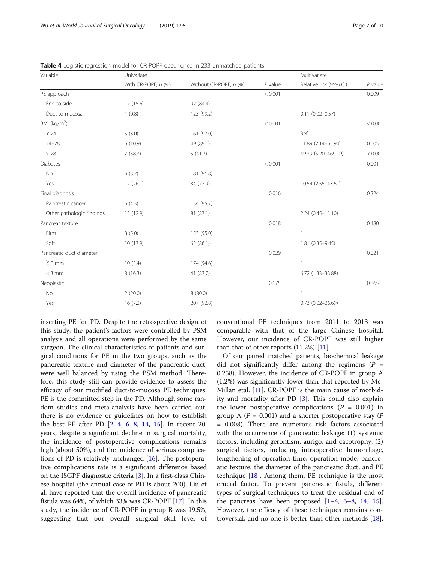| Variable                  | Univariate          | Multivariate           |           |                         |           |
|---------------------------|---------------------|------------------------|-----------|-------------------------|-----------|
|                           | With CR-POPF, n (%) | Without CR-POPF, n (%) | $P$ value | Relative risk (95% CI)  | $P$ value |
| PE approach               |                     |                        | < 0.001   |                         | 0.009     |
| End-to-side               | 17 (15.6)           | 92 (84.4)              |           | $\mathbf{1}$            |           |
| Duct-to-mucosa            | 1(0.8)              | 123 (99.2)             |           | $0.11(0.02 - 0.57)$     |           |
| BMI ( $kg/m2$ )           |                     |                        | < 0.001   |                         | < 0.001   |
| < 24                      | 5(3.0)              | 161 (97.0)             |           | Ref.                    |           |
| $24 - 28$                 | 6(10.9)             | 49 (89.1)              |           | 11.89 (2.14-65.94)      | 0.005     |
| > 28                      | 7(58.3)             | 5(41.7)                |           | 49.39 (5.20-469.19)     | < 0.001   |
| Diabetes                  |                     |                        | < 0.001   |                         | 0.001     |
| No                        | 6(3.2)              | 181 (96.8)             |           | 1                       |           |
| Yes                       | 12(26.1)            | 34 (73.9)              |           | 10.54 (2.55-43.61)      |           |
| Final diagnosis           |                     |                        | 0.016     |                         | 0.324     |
| Pancreatic cancer         | 6(4.3)              | 134 (95.7)             |           | 1                       |           |
| Other pathologic findings | 12 (12.9)           | 81 (87.1)              |           | $2.24(0.45 - 11.10)$    |           |
| Pancreas texture          |                     |                        | 0.018     |                         | 0.480     |
| Firm                      | 8(5.0)              | 153 (95.0)             |           | 1                       |           |
| Soft                      | 10 (13.9)           | 62 (86.1)              |           | $1.81(0.35 - 9.45)$     |           |
| Pancreatic duct diameter  |                     |                        | 0.029     |                         | 0.021     |
| $\geq$ 3 mm               | 10(5.4)             | 174 (94.6)             |           | $\mathbf{1}$            |           |
| $<$ 3 mm                  | 8(16.3)             | 41 (83.7)              |           | 6.72 (1.33-33.88)       |           |
| Neoplastic                |                     |                        | 0.175     |                         | 0.865     |
| No                        | 2(20.0)             | 8(80.0)                |           | 1                       |           |
| Yes                       | 16(7.2)             | 207 (92.8)             |           | $0.73$ $(0.02 - 26.69)$ |           |

<span id="page-6-0"></span>Table 4 Logistic regression model for CR-POPF occurrence in 233 unmatched patients

inserting PE for PD. Despite the retrospective design of this study, the patient's factors were controlled by PSM analysis and all operations were performed by the same surgeon. The clinical characteristics of patients and surgical conditions for PE in the two groups, such as the pancreatic texture and diameter of the pancreatic duct, were well balanced by using the PSM method. Therefore, this study still can provide evidence to assess the efficacy of our modified duct-to-mucosa PE techniques. PE is the committed step in the PD. Although some random studies and meta-analysis have been carried out, there is no evidence or guidelines on how to establish the best PE after PD [\[2](#page-9-0)–[4](#page-9-0), [6](#page-9-0)–[8,](#page-9-0) [14](#page-9-0), [15\]](#page-9-0). In recent 20 years, despite a significant decline in surgical mortality, the incidence of postoperative complications remains high (about 50%), and the incidence of serious complications of PD is relatively unchanged [[16\]](#page-9-0). The postoperative complications rate is a significant difference based on the ISGPF diagnostic criteria [[3\]](#page-9-0). In a first-class Chinese hospital (the annual case of PD is about 200), Liu et al. have reported that the overall incidence of pancreatic fistula was 64%, of which 33% was CR-POPF [\[17\]](#page-9-0). In this study, the incidence of CR-POPF in group B was 19.5%, suggesting that our overall surgical skill level of conventional PE techniques from 2011 to 2013 was comparable with that of the large Chinese hospital. However, our incidence of CR-POPF was still higher than that of other reports  $(11.2%)$  [[11\]](#page-9-0).

Of our paired matched patients, biochemical leakage did not significantly differ among the regimens ( $P =$ 0.258). However, the incidence of CR-POPF in group A (1.2%) was significantly lower than that reported by Mc-Millan etal. [[11](#page-9-0)]. CR-POPF is the main cause of morbidity and mortality after PD [\[3](#page-9-0)]. This could also explain the lower postoperative complications  $(P = 0.001)$  in group A ( $P = 0.001$ ) and a shorter postoperative stay ( $P$ = 0.008). There are numerous risk factors associated with the occurrence of pancreatic leakage: (1) systemic factors, including gerontism, aurigo, and cacotrophy; (2) surgical factors, including intraoperative hemorrhage, lengthening of operation time, operation mode, pancreatic texture, the diameter of the pancreatic duct, and PE technique  $[18]$ . Among them, PE technique is the most crucial factor. To prevent pancreatic fistula, different types of surgical techniques to treat the residual end of the pancreas have been proposed  $[1-4, 6-8, 14, 15]$  $[1-4, 6-8, 14, 15]$  $[1-4, 6-8, 14, 15]$  $[1-4, 6-8, 14, 15]$  $[1-4, 6-8, 14, 15]$  $[1-4, 6-8, 14, 15]$  $[1-4, 6-8, 14, 15]$  $[1-4, 6-8, 14, 15]$  $[1-4, 6-8, 14, 15]$  $[1-4, 6-8, 14, 15]$  $[1-4, 6-8, 14, 15]$  $[1-4, 6-8, 14, 15]$ . However, the efficacy of these techniques remains controversial, and no one is better than other methods [\[18](#page-9-0)].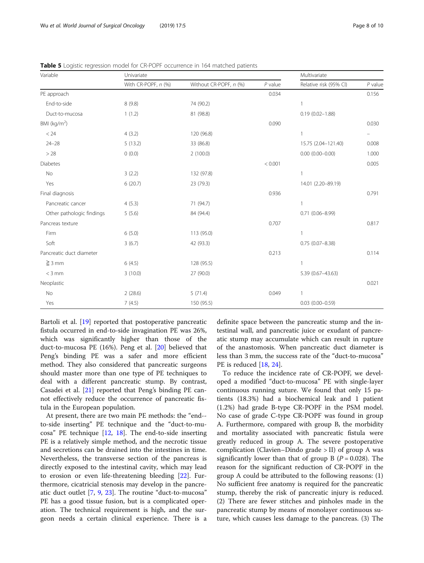| Variable                  | Univariate          | Multivariate           |           |                        |           |
|---------------------------|---------------------|------------------------|-----------|------------------------|-----------|
|                           | With CR-POPF, n (%) | Without CR-POPF, n (%) | $P$ value | Relative risk (95% CI) | $P$ value |
| PE approach               |                     |                        | 0.034     |                        | 0.156     |
| End-to-side               | 8 (9.8)             | 74 (90.2)              |           | 1                      |           |
| Duct-to-mucosa            | 1(1.2)              | 81 (98.8)              |           | $0.19(0.02 - 1.88)$    |           |
| BMI ( $kg/m2$ )           |                     |                        | 0.090     |                        | 0.030     |
| < 24                      | 4(3.2)              | 120 (96.8)             |           |                        |           |
| $24 - 28$                 | 5(13.2)             | 33 (86.8)              |           | 15.75 (2.04-121.40)    | 0.008     |
| > 28                      | 0(0.0)              | 2(100.0)               |           | $0.00$ $(0.00 - 0.00)$ | 1.000     |
| Diabetes                  |                     |                        | < 0.001   |                        | 0.005     |
| No                        | 3(2.2)              | 132 (97.8)             |           | 1                      |           |
| Yes                       | 6(20.7)             | 23(79.3)               |           | 14.01 (2.20-89.19)     |           |
| Final diagnosis           |                     |                        | 0.936     |                        | 0.791     |
| Pancreatic cancer         | 4(5.3)              | 71 (94.7)              |           |                        |           |
| Other pathologic findings | 5(5.6)              | 84 (94.4)              |           | $0.71(0.06 - 8.99)$    |           |
| Pancreas texture          |                     |                        | 0.707     |                        | 0.817     |
| Firm                      | 6(5.0)              | 113 (95.0)             |           |                        |           |
| Soft                      | 3(6.7)              | 42 (93.3)              |           | $0.75(0.07 - 8.38)$    |           |
| Pancreatic duct diameter  |                     |                        | 0.213     |                        | 0.114     |
| $\geq$ 3 mm               | 6(4.5)              | 128 (95.5)             |           | 1                      |           |
| $<$ 3 mm                  | 3(10.0)             | 27 (90.0)              |           | 5.39 (0.67-43.63)      |           |
| Neoplastic                |                     |                        |           |                        | 0.021     |
| No                        | 2(28.6)             | 5(71.4)                | 0.049     |                        |           |
| Yes                       | 7(4.5)              | 150 (95.5)             |           | $0.03$ (0.00-0.59)     |           |

<span id="page-7-0"></span>Table 5 Logistic regression model for CR-POPF occurrence in 164 matched patients

Bartoli et al. [\[19\]](#page-9-0) reported that postoperative pancreatic fistula occurred in end-to-side invagination PE was 26%, which was significantly higher than those of the duct-to-mucosa PE (16%). Peng et al. [[20](#page-9-0)] believed that Peng's binding PE was a safer and more efficient method. They also considered that pancreatic surgeons should master more than one type of PE techniques to deal with a different pancreatic stump. By contrast, Casadei et al. [\[21\]](#page-9-0) reported that Peng's binding PE cannot effectively reduce the occurrence of pancreatic fistula in the European population.

At present, there are two main PE methods: the "end- to-side inserting" PE technique and the "duct-to-mucosa" PE technique [\[12](#page-9-0), [18\]](#page-9-0). The end-to-side inserting PE is a relatively simple method, and the necrotic tissue and secretions can be drained into the intestines in time. Nevertheless, the transverse section of the pancreas is directly exposed to the intestinal cavity, which may lead to erosion or even life-threatening bleeding [[22\]](#page-9-0). Furthermore, cicatricial stenosis may develop in the pancreatic duct outlet [[7](#page-9-0), [9,](#page-9-0) [23](#page-9-0)]. The routine "duct-to-mucosa" PE has a good tissue fusion, but is a complicated operation. The technical requirement is high, and the surgeon needs a certain clinical experience. There is a

definite space between the pancreatic stump and the intestinal wall, and pancreatic juice or exudant of pancreatic stump may accumulate which can result in rupture of the anastomosis. When pancreatic duct diameter is less than 3 mm, the success rate of the "duct-to-mucosa" PE is reduced [[18,](#page-9-0) [24](#page-9-0)].

To reduce the incidence rate of CR-POPF, we developed a modified "duct-to-mucosa" PE with single-layer continuous running suture. We found that only 15 patients (18.3%) had a biochemical leak and 1 patient (1.2%) had grade B-type CR-POPF in the PSM model. No case of grade C-type CR-POPF was found in group A. Furthermore, compared with group B, the morbidity and mortality associated with pancreatic fistula were greatly reduced in group A. The severe postoperative complication (Clavien–Dindo grade > II) of group A was significantly lower than that of group B ( $P = 0.028$ ). The reason for the significant reduction of CR-POPF in the group A could be attributed to the following reasons: (1) No sufficient free anatomy is required for the pancreatic stump, thereby the risk of pancreatic injury is reduced. (2) There are fewer stitches and pinholes made in the pancreatic stump by means of monolayer continuous suture, which causes less damage to the pancreas. (3) The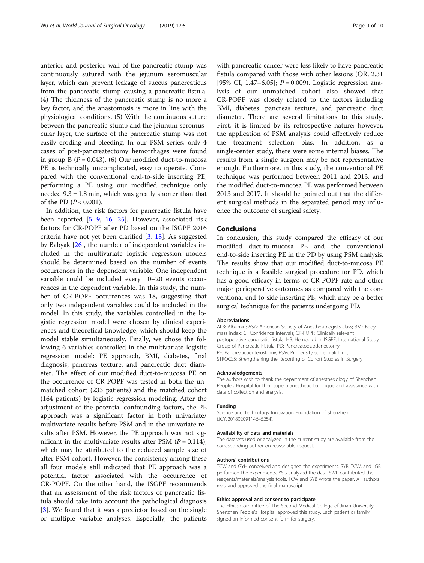anterior and posterior wall of the pancreatic stump was continuously sutured with the jejunum seromuscular layer, which can prevent leakage of succus pancreaticus from the pancreatic stump causing a pancreatic fistula. (4) The thickness of the pancreatic stump is no more a key factor, and the anastomosis is more in line with the physiological conditions. (5) With the continuous suture between the pancreatic stump and the jejunum seromuscular layer, the surface of the pancreatic stump was not easily eroding and bleeding. In our PSM series, only 4 cases of post-pancreatectomy hemorrhages were found in group B ( $P = 0.043$ ). (6) Our modified duct-to-mucosa PE is technically uncomplicated, easy to operate. Compared with the conventional end-to-side inserting PE, performing a PE using our modified technique only needed  $9.3 \pm 1.8$  min, which was greatly shorter than that of the PD  $(P < 0.001)$ .

In addition, the risk factors for pancreatic fistula have been reported [[5](#page-9-0)–[9](#page-9-0), [16,](#page-9-0) [25](#page-9-0)]. However, associated risk factors for CR-POPF after PD based on the ISGPF 2016 criteria have not yet been clarified [[3,](#page-9-0) [18\]](#page-9-0). As suggested by Babyak [\[26\]](#page-9-0), the number of independent variables included in the multivariate logistic regression models should be determined based on the number of events occurrences in the dependent variable. One independent variable could be included every 10–20 events occurrences in the dependent variable. In this study, the number of CR-POPF occurrences was 18, suggesting that only two independent variables could be included in the model. In this study, the variables controlled in the logistic regression model were chosen by clinical experiences and theoretical knowledge, which should keep the model stable simultaneously. Finally, we chose the following 6 variables controlled in the multivariate logistic regression model: PE approach, BMI, diabetes, final diagnosis, pancreas texture, and pancreatic duct diameter. The effect of our modified duct-to-mucosa PE on the occurrence of CR-POPF was tested in both the unmatched cohort (233 patients) and the matched cohort (164 patients) by logistic regression modeling. After the adjustment of the potential confounding factors, the PE approach was a significant factor in both univariate/ multivariate results before PSM and in the univariate results after PSM. However, the PE approach was not significant in the multivariate results after PSM ( $P = 0.114$ ), which may be attributed to the reduced sample size of after PSM cohort. However, the consistency among these all four models still indicated that PE approach was a potential factor associated with the occurrence of CR-POPF. On the other hand, the ISGPF recommends that an assessment of the risk factors of pancreatic fistula should take into account the pathological diagnosis [[3\]](#page-9-0). We found that it was a predictor based on the single or multiple variable analyses. Especially, the patients

with pancreatic cancer were less likely to have pancreatic fistula compared with those with other lesions (OR, 2.31 [95% CI, 1.47–6.05];  $P = 0.009$ ). Logistic regression analysis of our unmatched cohort also showed that CR-POPF was closely related to the factors including BMI, diabetes, pancreas texture, and pancreatic duct diameter. There are several limitations to this study. First, it is limited by its retrospective nature; however, the application of PSM analysis could effectively reduce the treatment selection bias. In addition, as a single-center study, there were some internal biases. The results from a single surgeon may be not representative enough. Furthermore, in this study, the conventional PE technique was performed between 2011 and 2013, and the modified duct-to-mucosa PE was performed between 2013 and 2017. It should be pointed out that the different surgical methods in the separated period may influence the outcome of surgical safety.

### Conclusions

In conclusion, this study compared the efficacy of our modified duct-to-mucosa PE and the conventional end-to-side inserting PE in the PD by using PSM analysis. The results show that our modified duct-to-mucosa PE technique is a feasible surgical procedure for PD, which has a good efficacy in terms of CR-POPF rate and other major perioperative outcomes as compared with the conventional end-to-side inserting PE, which may be a better surgical technique for the patients undergoing PD.

#### Abbreviations

ALB: Albumin; ASA: American Society of Anesthesiologists class; BMI: Body mass index; CI: Confidence intervals; CR-POPF: Clinically relevant postoperative pancreatic fistula; HB: Hemoglobin; ISGPF: International Study Group of Pancreatic Fistula; PD: Pancreatoduodenectomy; PE: Pancreaticoenterostomy; PSM: Propensity score matching; STROCSS: Strengthening the Reporting of Cohort Studies in Surgery

#### Acknowledgements

The authors wish to thank the department of anesthesiology of Shenzhen People's Hospital for their superb anesthetic technique and assistance with data of collection and analysis.

#### Funding

Science and Technology Innovation Foundation of Shenzhen (JCYJ20180209114645254).

#### Availability of data and materials

The datasets used or analyzed in the current study are available from the corresponding author on reasonable request.

#### Authors' contributions

TCW and GYH conceived and designed the experiments. SYB, TCW, and JGB performed the experiments. YSG analyzed the data. SWL contributed the reagents/materials/analysis tools. TCW and SYB wrote the paper. All authors read and approved the final manuscript.

#### Ethics approval and consent to participate

The Ethics Committee of The Second Medical College of Jinan University, Shenzhen People's Hospital approved this study. Each patient or family signed an informed consent form for surgery.